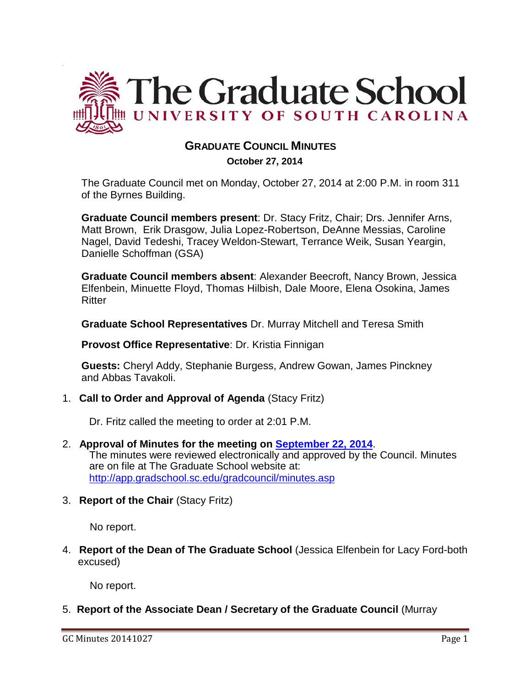

### **GRADUATE COUNCIL MINUTES**

 **October 27, 2014**

The Graduate Council met on Monday, October 27, 2014 at 2:00 P.M. in room 311 of the Byrnes Building.

**Graduate Council members present**: Dr. Stacy Fritz, Chair; Drs. Jennifer Arns, Matt Brown, Erik Drasgow, Julia Lopez-Robertson, DeAnne Messias, Caroline Nagel, David Tedeshi, Tracey Weldon-Stewart, Terrance Weik, Susan Yeargin, Danielle Schoffman (GSA)

**Graduate Council members absent**: Alexander Beecroft, Nancy Brown, Jessica Elfenbein, Minuette Floyd, Thomas Hilbish, Dale Moore, Elena Osokina, James **Ritter** 

**Graduate School Representatives** Dr. Murray Mitchell and Teresa Smith

**Provost Office Representative**: Dr. Kristia Finnigan

**Guests:** Cheryl Addy, Stephanie Burgess, Andrew Gowan, James Pinckney and Abbas Tavakoli.

1. **Call to Order and Approval of Agenda** (Stacy Fritz)

Dr. Fritz called the meeting to order at 2:01 P.M.

- 2. **Approval of Minutes for the meeting on [September 22, 2014](http://gradschool.sc.edu/facstaff/gradcouncil/2014/GC%20Minutes%209%2022%2014%20draft-REVISED3.pdf)**. The minutes were reviewed electronically and approved by the Council. Minutes are on file at The Graduate School website at: <http://app.gradschool.sc.edu/gradcouncil/minutes.asp>
- 3. **Report of the Chair** (Stacy Fritz)

No report.

4. **Report of the Dean of The Graduate School** (Jessica Elfenbein for Lacy Ford-both excused)

No report.

5. **Report of the Associate Dean / Secretary of the Graduate Council** (Murray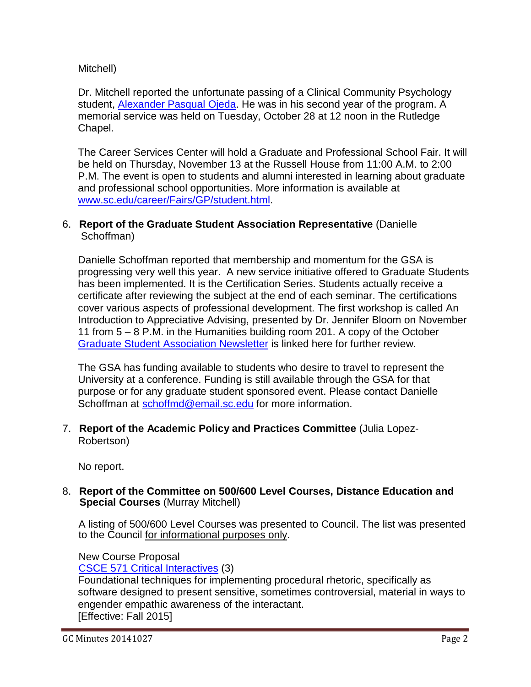### Mitchell)

Dr. Mitchell reported the unfortunate passing of a Clinical Community Psychology student, [Alexander Pasqual Ojeda.](http://gradschool.sc.edu/facstaff/gradcouncil/2014/Attachment%2010-27-14%20Alex%20Memorium%20Sheet.pdf) He was in his second year of the program. A memorial service was held on Tuesday, October 28 at 12 noon in the Rutledge Chapel.

The Career Services Center will hold a Graduate and Professional School Fair. It will be held on Thursday, November 13 at the Russell House from 11:00 A.M. to 2:00 P.M. The event is open to students and alumni interested in learning about graduate and professional school opportunities. More information is available at [www.sc.edu/career/Fairs/GP/student.html.](http://www.sc.edu/career/Fairs/GP/student.html)

### 6. **Report of the Graduate Student Association Representative** (Danielle Schoffman)

Danielle Schoffman reported that membership and momentum for the GSA is progressing very well this year. A new service initiative offered to Graduate Students has been implemented. It is the Certification Series. Students actually receive a certificate after reviewing the subject at the end of each seminar. The certifications cover various aspects of professional development. The first workshop is called An Introduction to Appreciative Advising, presented by Dr. Jennifer Bloom on November 11 from 5 – 8 P.M. in the Humanities building room 201. A copy of the October [Graduate Student Association Newsletter](http://gradschool.sc.edu/facstaff/gradcouncil/2014/Attachment%2010-27-14%20GSA%20Newsletter.pdf) is linked here for further review.

The GSA has funding available to students who desire to travel to represent the University at a conference. Funding is still available through the GSA for that purpose or for any graduate student sponsored event. Please contact Danielle Schoffman at [schoffmd@email.sc.edu](mailto:schoffmd@email.sc.edu) for more information.

7. **Report of the Academic Policy and Practices Committee** (Julia Lopez-Robertson)

No report.

### 8. **Report of the Committee on 500/600 Level Courses, Distance Education and Special Courses** (Murray Mitchell)

A listing of 500/600 Level Courses was presented to Council. The list was presented to the Council for informational purposes only.

### New Course Proposal

CSCE 571 [Critical Interactives](http://gradschool.sc.edu/facstaff/gradcouncil/2014/CSCE%20571_Redacted.pdf) (3)

Foundational techniques for implementing procedural rhetoric, specifically as software designed to present sensitive, sometimes controversial, material in ways to engender empathic awareness of the interactant. [Effective: Fall 2015]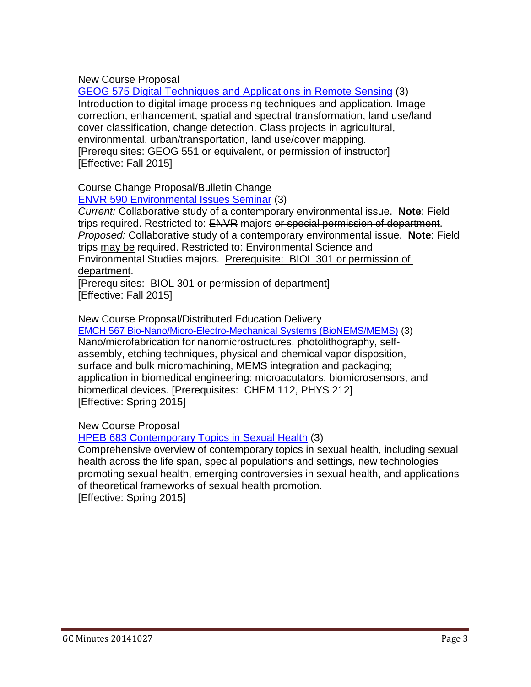New Course Proposal

GEOG 575 Digital Techniques and [Applications](http://gradschool.sc.edu/facstaff/gradcouncil/2014/GEOG%20575%20NCP_Redacted1.pdf) in Remote Sensing (3) Introduction to digital image processing techniques and application. Image correction, enhancement, spatial and spectral transformation, land use/land cover classification, change detection. Class projects in agricultural, environmental, urban/transportation, land use/cover mapping. [Prerequisites: GEOG 551 or equivalent, or permission of instructor] [Effective: Fall 2015]

Course Change Proposal/Bulletin Change

ENVR 590 [Environmental](http://gradschool.sc.edu/facstaff/gradcouncil/2014/ENVR%20590%20CCP_Redacted.pdf) Issues Seminar (3)

*Current:* Collaborative study of a contemporary environmental issue. **Note**: Field trips required. Restricted to: ENVR majors or special permission of department. *Proposed:* Collaborative study of a contemporary environmental issue. **Note**: Field trips may be required. Restricted to: Environmental Science and Environmental Studies majors. Prerequisite: BIOL 301 or permission of department.

[Prerequisites: BIOL 301 or permission of department] [Effective: Fall 2015]

New Course Proposal/Distributed Education Delivery

EMCH 567 [Bio-Nano/Micro-Electro-Mechanical](http://gradschool.sc.edu/facstaff/gradcouncil/2014/EMCH%20567%20BioNano_Redacted1.pdf) Systems (BioNEMS/MEMS) (3) Nano/microfabrication for nanomicrostructures, photolithography, selfassembly, etching techniques, physical and chemical vapor disposition, surface and bulk micromachining, MEMS integration and packaging; application in biomedical engineering: microacutators, biomicrosensors, and biomedical devices. [Prerequisites: CHEM 112, PHYS 212] [Effective: Spring 2015]

New Course Proposal

HPEB 683 [Contemporary](http://gradschool.sc.edu/facstaff/gradcouncil/2014/HPEB%20683%20NCP_Redacted.pdf) Topics in Sexual Health (3)

Comprehensive overview of contemporary topics in sexual health, including sexual health across the life span, special populations and settings, new technologies promoting sexual health, emerging controversies in sexual health, and applications of theoretical frameworks of sexual health promotion. [Effective: Spring 2015]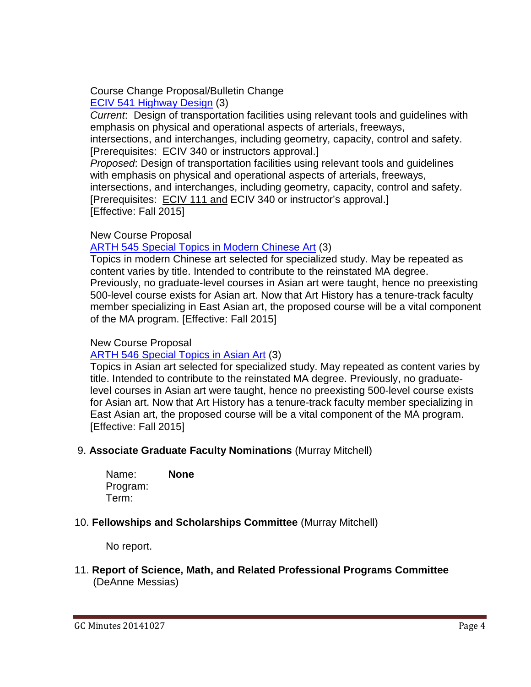### Course Change Proposal/Bulletin Change ECIV 541 [Highway](http://gradschool.sc.edu/facstaff/gradcouncil/2014/ECIV%20541%20Highway%20Design_Redacted.pdf) Design (3)

*Current*: Design of transportation facilities using relevant tools and guidelines with emphasis on physical and operational aspects of arterials, freeways,

intersections, and interchanges, including geometry, capacity, control and safety. [Prerequisites: ECIV 340 or instructors approval.]

*Proposed*: Design of transportation facilities using relevant tools and guidelines with emphasis on physical and operational aspects of arterials, freeways, intersections, and interchanges, including geometry, capacity, control and safety. [Prerequisites: ECIV 111 and ECIV 340 or instructor's approval.] [Effective: Fall 2015]

### New Course Proposal

### [ARTH 545](http://gradschool.sc.edu/facstaff/gradcouncil/2014/ARTH%20545_Redacted1.pdf) Special Topics in Modern Chinese Art (3)

Topics in modern Chinese art selected for specialized study. May be repeated as content varies by title. Intended to contribute to the reinstated MA degree. Previously, no graduate-level courses in Asian art were taught, hence no preexisting 500-level course exists for Asian art. Now that Art History has a tenure-track faculty member specializing in East Asian art, the proposed course will be a vital component of the MA program. [Effective: Fall 2015]

### New Course Proposal

### [ARTH 546](http://gradschool.sc.edu/facstaff/gradcouncil/2014/ARTH%20546_Redacted1.pdf) Special Topics in Asian Art (3)

Topics in Asian art selected for specialized study. May repeated as content varies by title. Intended to contribute to the reinstated MA degree. Previously, no graduatelevel courses in Asian art were taught, hence no preexisting 500-level course exists for Asian art. Now that Art History has a tenure-track faculty member specializing in East Asian art, the proposed course will be a vital component of the MA program. [Effective: Fall 2015]

### 9. **Associate Graduate Faculty Nominations** (Murray Mitchell)

Name: **None**  Program: Term:

### 10. **Fellowships and Scholarships Committee** (Murray Mitchell)

No report.

### 11. **Report of Science, Math, and Related Professional Programs Committee** (DeAnne Messias)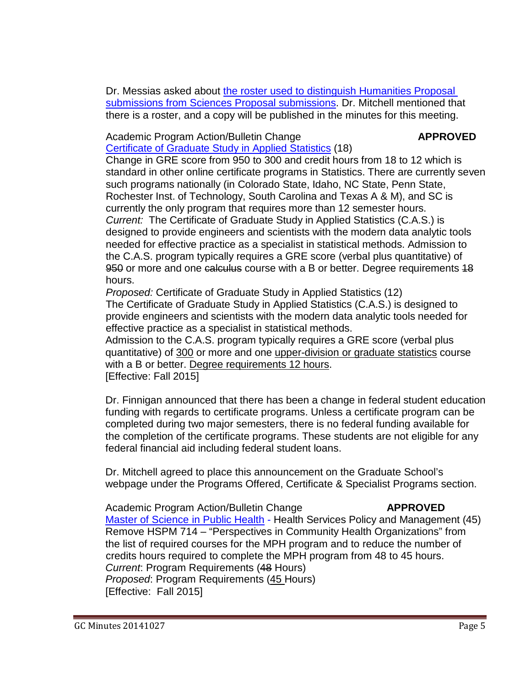Dr. Messias asked about [the roster used to distinguish Humanities Proposal](http://gradschool.sc.edu/facstaff/gradcouncil/2014/Attachment%2010-27-14%20Subcommittee%20Proposal%20designator%20Sheet.pdf) submissions [from Sciences Proposal](http://gradschool.sc.edu/facstaff/gradcouncil/2014/Attachment%2010-27-14%20Subcommittee%20Proposal%20designator%20Sheet.pdf) submissions. Dr. Mitchell mentioned that there is a roster, and a copy will be published in the minutes for this meeting.

### Academic Program Action/Bulletin Change **APPROVED** [Certificate](http://gradschool.sc.edu/facstaff/gradcouncil/2014/Certificate%20of%20Graduate%20Study%20in%20Applied%20Statistics%20APA_Redacted.pdf) of Graduate Study in Applied Statistics (18)

Change in GRE score from 950 to 300 and credit hours from 18 to 12 which is standard in other online certificate programs in Statistics. There are currently seven such programs nationally (in Colorado State, Idaho, NC State, Penn State, Rochester Inst. of Technology, South Carolina and Texas A & M), and SC is currently the only program that requires more than 12 semester hours. *Current:* The Certificate of Graduate Study in Applied Statistics (C.A.S.) is designed to provide engineers and scientists with the modern data analytic tools needed for effective practice as a specialist in statistical methods. Admission to the C.A.S. program typically requires a GRE score (verbal plus quantitative) of 950 or more and one calculus course with a B or better. Degree requirements 48 hours.

*Proposed:* Certificate of Graduate Study in Applied Statistics (12) The Certificate of Graduate Study in Applied Statistics (C.A.S.) is designed to provide engineers and scientists with the modern data analytic tools needed for effective practice as a specialist in statistical methods.

Admission to the C.A.S. program typically requires a GRE score (verbal plus quantitative) of 300 or more and one upper-division or graduate statistics course with a B or better. Degree requirements 12 hours. [Effective: Fall 2015]

Dr. Finnigan announced that there has been a change in federal student education funding with regards to certificate programs. Unless a certificate program can be completed during two major semesters, there is no federal funding available for the completion of the certificate programs. These students are not eligible for any federal financial aid including federal student loans.

Dr. Mitchell agreed to place this announcement on the Graduate School's webpage under the Programs Offered, Certificate & Specialist Programs section.

Academic Program Action/Bulletin Change **APPROVED** Master of [Science in Public Health](http://gradschool.sc.edu/facstaff/gradcouncil/2014/Master%20of%20Public%20Health%20HSPM%20APA_Redacted1.pdf) - Health Services Policy and Management (45) Remove HSPM 714 – "Perspectives in Community Health Organizations" from the list of required courses for the MPH program and to reduce the number of credits hours required to complete the MPH program from 48 to 45 hours.

*Current*: Program Requirements (48 Hours) *Proposed*: Program Requirements (45 Hours) [Effective: Fall 2015]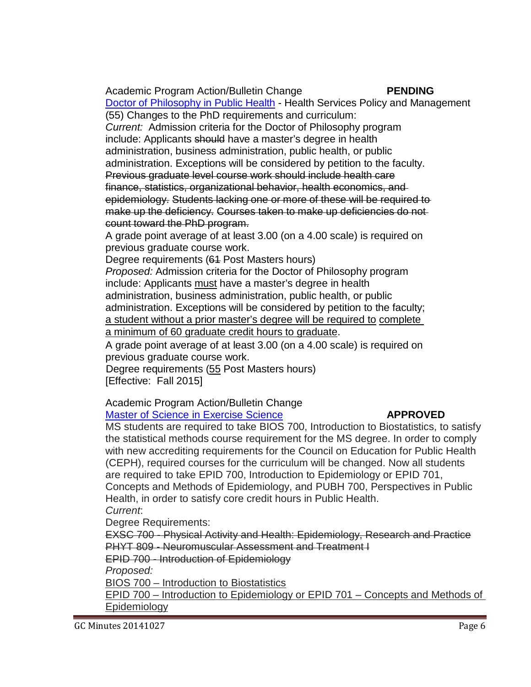Academic Program Action/Bulletin Change **PENDING** Doctor of Philosophy in [Public Health](http://gradschool.sc.edu/facstaff/gradcouncil/2014/Doctor%20of%20Public%20Health%20HSPM%20APA_Redacted1.pdf) - Health Services Policy and Management (55) Changes to the PhD requirements and curriculum:

*Current:* Admission criteria for the Doctor of Philosophy program include: Applicants should have a master's degree in health administration, business administration, public health, or public administration. Exceptions will be considered by petition to the faculty. Previous graduate level course work should include health care finance, statistics, organizational behavior, health economics, and epidemiology. Students lacking one or more of these will be required to make up the deficiency. Courses taken to make up deficiencies do not count toward the PhD program.

A grade point average of at least 3.00 (on a 4.00 scale) is required on previous graduate course work.

Degree requirements (61 Post Masters hours)

*Proposed:* Admission criteria for the Doctor of Philosophy program include: Applicants must have a master's degree in health administration, business administration, public health, or public administration. Exceptions will be considered by petition to the faculty; a student without a prior master's degree will be required to complete a minimum of 60 graduate credit hours to graduate.

A grade point average of at least 3.00 (on a 4.00 scale) is required on previous graduate course work.

Degree requirements (55 Post Masters hours) [Effective: Fall 2015]

Academic Program Action/Bulletin Change

### Master of [Science in Exercise](http://gradschool.sc.edu/facstaff/gradcouncil/2014/Master%20of%20EXSC%20APA_Redacted1.pdf) Science **APPROVED**

MS students are required to take BIOS 700, Introduction to Biostatistics, to satisfy the statistical methods course requirement for the MS degree. In order to comply with new accrediting requirements for the Council on Education for Public Health (CEPH), required courses for the curriculum will be changed. Now all students are required to take EPID 700, Introduction to Epidemiology or EPID 701, Concepts and Methods of Epidemiology, and PUBH 700, Perspectives in Public Health, in order to satisfy core credit hours in Public Health. *Current*:

Degree Requirements:

EXSC 700 - Physical Activity and Health: Epidemiology, Research and Practice PHYT 809 - Neuromuscular Assessment and Treatment I

EPID 700 - Introduction of Epidemiology

*Proposed:*

BIOS 700 – Introduction to Biostatistics

EPID 700 – Introduction to Epidemiology or EPID 701 – Concepts and Methods of Epidemiology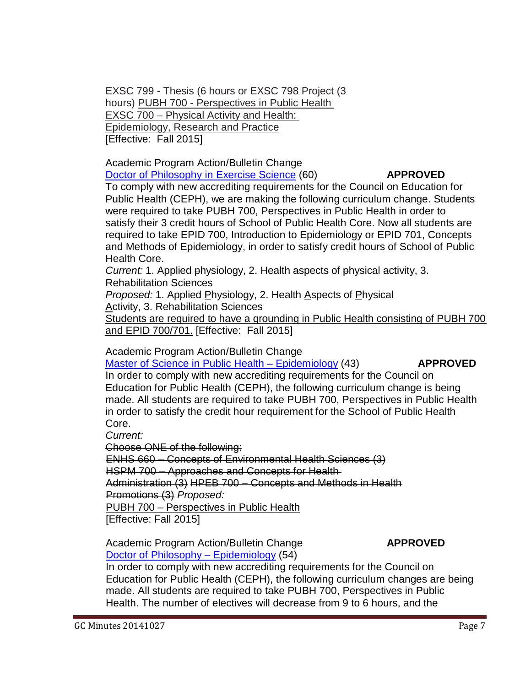EXSC 799 - Thesis (6 hours or EXSC 798 Project (3 hours) PUBH 700 - Perspectives in Public Health EXSC 700 – Physical Activity and Health: Epidemiology, Research and Practice [Effective: Fall 2015]

Academic Program Action/Bulletin Change Doctor of [Philosophy in Exercise](http://gradschool.sc.edu/facstaff/gradcouncil/2014/Doctor%20of%20EXSC%20APA_Redacted1.pdf) Science (60) **APPROVED**

To comply with new accrediting requirements for the Council on Education for Public Health (CEPH), we are making the following curriculum change. Students were required to take PUBH 700, Perspectives in Public Health in order to satisfy their 3 credit hours of School of Public Health Core. Now all students are required to take EPID 700, Introduction to Epidemiology or EPID 701, Concepts and Methods of Epidemiology, in order to satisfy credit hours of School of Public Health Core.

*Current:* 1. Applied physiology, 2. Health aspects of physical activity, 3. Rehabilitation Sciences

*Proposed:* 1. Applied Physiology, 2. Health Aspects of Physical Activity, 3. Rehabilitation Sciences

Students are required to have a grounding in Public Health consisting of PUBH 700 and EPID 700/701. [Effective: Fall 2015]

Academic Program Action/Bulletin Change

Master of Science in Public Health – [Epidemiology](http://gradschool.sc.edu/facstaff/gradcouncil/2014/Master%20of%20Science%20in%20Public%20Health-Epi%20APA_Redacted.pdf) (43) **APPROVED**

In order to comply with new accrediting requirements for the Council on Education for Public Health (CEPH), the following curriculum change is being made. All students are required to take PUBH 700, Perspectives in Public Health in order to satisfy the credit hour requirement for the School of Public Health Core.

*Current:*

Choose ONE of the following:

ENHS 660 – Concepts of Environmental Health Sciences (3)

HSPM 700 – Approaches and Concepts for Health

Administration (3) HPEB 700 – Concepts and Methods in Health

Promotions (3) *Proposed:*

PUBH 700 – Perspectives in Public Health [Effective: Fall 2015]

Academic Program Action/Bulletin Change **APPROVED** Doctor of Philosophy – [Epidemiology](http://gradschool.sc.edu/facstaff/gradcouncil/2014/Doctor%20of%20Philosophy%20-%20Epidemiology%20APA%20_Redacted.pdf) (54)

In order to comply with new accrediting requirements for the Council on Education for Public Health (CEPH), the following curriculum changes are being made. All students are required to take PUBH 700, Perspectives in Public Health. The number of electives will decrease from 9 to 6 hours, and the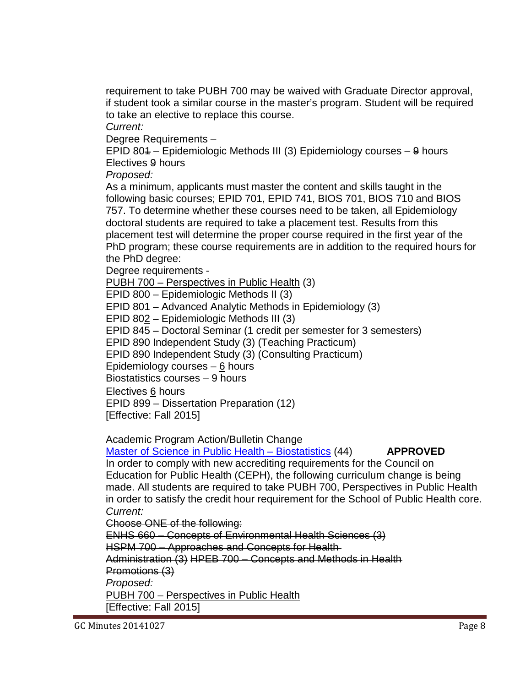requirement to take PUBH 700 may be waived with Graduate Director approval, if student took a similar course in the master's program. Student will be required to take an elective to replace this course.

*Current:*

Degree Requirements –

EPID 801 – Epidemiologic Methods III (3) Epidemiology courses – 9 hours Electives 9 hours

*Proposed:*

As a minimum, applicants must master the content and skills taught in the following basic courses; EPID 701, EPID 741, BIOS 701, BIOS 710 and BIOS 757. To determine whether these courses need to be taken, all Epidemiology doctoral students are required to take a placement test. Results from this placement test will determine the proper course required in the first year of the PhD program; these course requirements are in addition to the required hours for the PhD degree:

Degree requirements -

PUBH 700 – Perspectives in Public Health (3)

EPID 800 – Epidemiologic Methods II (3)

EPID 801 – Advanced Analytic Methods in Epidemiology (3)

EPID 802 – Epidemiologic Methods III (3)

EPID 845 – Doctoral Seminar (1 credit per semester for 3 semesters)

EPID 890 Independent Study (3) (Teaching Practicum)

EPID 890 Independent Study (3) (Consulting Practicum)

Epidemiology courses  $-6$  hours

Biostatistics courses – 9 hours

Electives 6 hours EPID 899 – Dissertation Preparation (12)

[Effective: Fall 2015]

Academic Program Action/Bulletin Change

Master of Science in [Public Health](http://gradschool.sc.edu/facstaff/gradcouncil/2014/Master%20of%20Science%20BIOS%20APA_Redacted1.pdf) – Biostatistics (44) **APPROVED**

In order to comply with new accrediting requirements for the Council on Education for Public Health (CEPH), the following curriculum change is being made. All students are required to take PUBH 700, Perspectives in Public Health in order to satisfy the credit hour requirement for the School of Public Health core. *Current:*

Choose ONE of the following:

ENHS 660 – Concepts of Environmental Health Sciences (3) HSPM 700 – Approaches and Concepts for Health Administration (3) HPEB 700 – Concepts and Methods in Health Promotions (3) *Proposed:* PUBH 700 – Perspectives in Public Health

[Effective: Fall 2015]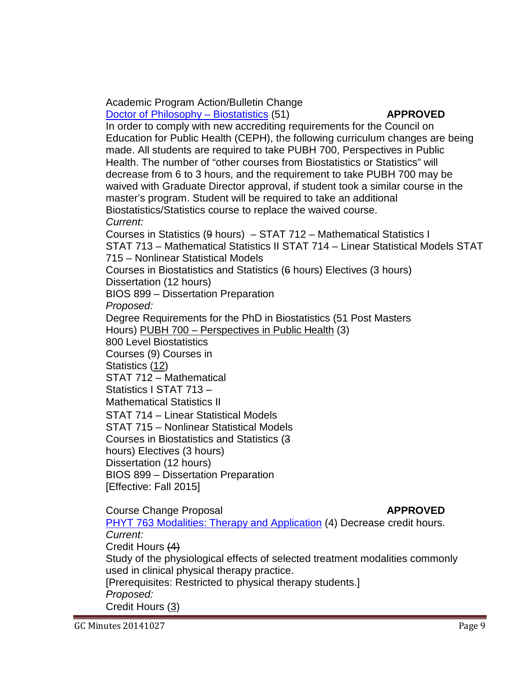Academic Program Action/Bulletin Change Doctor of Philosophy – [Biostatistics](http://gradschool.sc.edu/facstaff/gradcouncil/2014/Doctor%20of%20Philosophy%20-%20Biostatistics%20APA_Redacted1_Redacted.pdf) (51) **APPROVED** 

In order to comply with new accrediting requirements for the Council on Education for Public Health (CEPH), the following curriculum changes are being made. All students are required to take PUBH 700, Perspectives in Public Health. The number of "other courses from Biostatistics or Statistics" will decrease from 6 to 3 hours, and the requirement to take PUBH 700 may be waived with Graduate Director approval, if student took a similar course in the master's program. Student will be required to take an additional Biostatistics/Statistics course to replace the waived course.

*Current:*

Courses in Statistics (9 hours) – STAT 712 – Mathematical Statistics I STAT 713 – Mathematical Statistics II STAT 714 – Linear Statistical Models STAT 715 – Nonlinear Statistical Models

Courses in Biostatistics and Statistics (6 hours) Electives (3 hours) Dissertation (12 hours)

BIOS 899 – Dissertation Preparation

*Proposed:*

Degree Requirements for the PhD in Biostatistics (51 Post Masters

Hours) PUBH 700 – Perspectives in Public Health (3)

800 Level Biostatistics

Courses (9) Courses in

Statistics (12)

STAT 712 – Mathematical

Statistics I STAT 713 –

Mathematical Statistics II

STAT 714 – Linear Statistical Models

STAT 715 – Nonlinear Statistical Models

Courses in Biostatistics and Statistics (3

hours) Electives (3 hours)

Dissertation (12 hours)

BIOS 899 – Dissertation Preparation [Effective: Fall 2015]

Course Change Proposal **APPROVED** PHYT 763 Modalities: Therapy and [Application](http://gradschool.sc.edu/facstaff/gradcouncil/2014/PHYT%20763%20CCP_Redacted1.pdf) (4) Decrease credit hours. *Current:* Credit Hours (4) Study of the physiological effects of selected treatment modalities commonly used in clinical physical therapy practice. [Prerequisites: Restricted to physical therapy students.] *Proposed:* Credit Hours (3)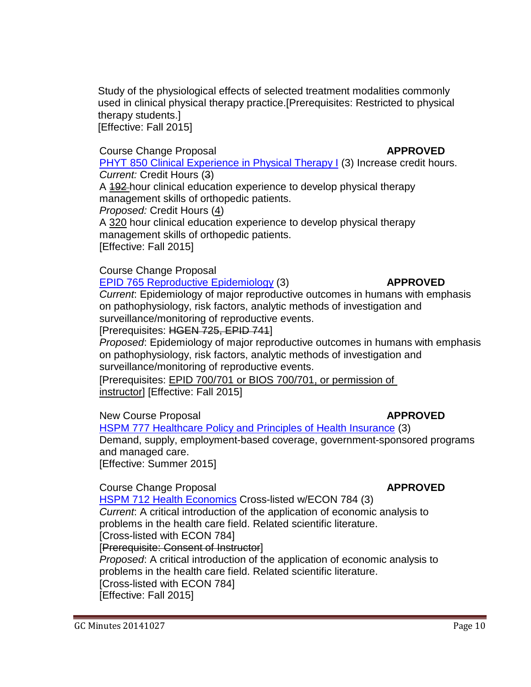Study of the physiological effects of selected treatment modalities commonly used in clinical physical therapy practice.[Prerequisites: Restricted to physical therapy students.] [Effective: Fall 2015]

### Course Change Proposal **APPROVED**

PHYT 850 Clinical [Experience](http://gradschool.sc.edu/facstaff/gradcouncil/2014/PHYT%20850%20CCP_Redacted1.pdf) in Physical Therapy I (3) Increase credit hours. *Current:* Credit Hours (3)

A 192-hour clinical education experience to develop physical therapy management skills of orthopedic patients.

*Proposed:* Credit Hours (4)

A 320 hour clinical education experience to develop physical therapy management skills of orthopedic patients. [Effective: Fall 2015]

Course Change Proposal

EPID 765 Reproductive [Epidemiology](http://gradschool.sc.edu/facstaff/gradcouncil/2014/EPID%20765%20CCP_Redacted2.pdf) (3) **APPROVED**

*Current*: Epidemiology of major reproductive outcomes in humans with emphasis on pathophysiology, risk factors, analytic methods of investigation and surveillance/monitoring of reproductive events.

[Prerequisites: HGEN 725, EPID 741]

*Proposed*: Epidemiology of major reproductive outcomes in humans with emphasis on pathophysiology, risk factors, analytic methods of investigation and surveillance/monitoring of reproductive events.

[Prerequisites: EPID 700/701 or BIOS 700/701, or permission of instructor] [Effective: Fall 2015]

New Course Proposal **APPROVED**

HSPM 777 [Healthcare](http://gradschool.sc.edu/facstaff/gradcouncil/2014/HSPM%20777%20NCP_Redacted1.pdf) Policy and Principles of Health Insurance (3)

Demand, supply, employment-based coverage, government-sponsored programs and managed care.

[Effective: Summer 2015]

**Course Change Proposal <b>APPROVED** 

HSPM 712 Health [Economics](http://gradschool.sc.edu/facstaff/gradcouncil/2014/HSPM%20712%20CCP%20_Redacted1.pdf) Cross-listed w/ECON 784 (3)

*Current*: A critical introduction of the application of economic analysis to problems in the health care field. Related scientific literature.

[Cross-listed with ECON 784]

[Prerequisite: Consent of Instructor]

*Proposed*: A critical introduction of the application of economic analysis to problems in the health care field. Related scientific literature. [Cross-listed with ECON 784]

[Effective: Fall 2015]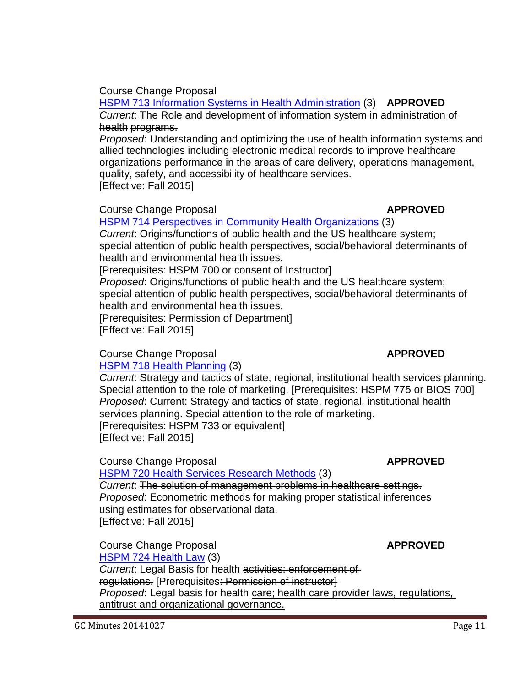### Course Change Proposal

### HSPM 713 Information Systems in Health [Administration](http://gradschool.sc.edu/facstaff/gradcouncil/2014/HSPM%20713%20CCP_Redacted1.pdf) (3) **APPROVED** *Current*: The Role and development of information system in administration of health programs.

*Proposed*: Understanding and optimizing the use of health information systems and allied technologies including electronic medical records to improve healthcare organizations performance in the areas of care delivery, operations management, quality, safety, and accessibility of healthcare services. [Effective: Fall 2015]

**Course Change Proposal <b>APPROVED** 

### HSPM 714 Perspectives in Community Health [Organizations](http://gradschool.sc.edu/facstaff/gradcouncil/2014/HSPM%20714%20CCP_Redacted1.pdf) (3)

*Current*: Origins/functions of public health and the US healthcare system; special attention of public health perspectives, social/behavioral determinants of health and environmental health issues.

[Prerequisites: HSPM 700 or consent of Instructor]

*Proposed*: Origins/functions of public health and the US healthcare system; special attention of public health perspectives, social/behavioral determinants of health and environmental health issues.

[Prerequisites: Permission of Department] [Effective: Fall 2015]

### **Course Change Proposal <b>APPROVED**

### HSPM 718 Health [Planning](http://gradschool.sc.edu/facstaff/gradcouncil/2014/HSPM%20718%20CCP_Redacted1.pdf) (3)

*Current*: Strategy and tactics of state, regional, institutional health services planning. Special attention to the role of marketing. [Prerequisites: HSPM 775 or BIOS 700] *Proposed*: Current: Strategy and tactics of state, regional, institutional health services planning. Special attention to the role of marketing. [Prerequisites: HSPM 733 or equivalent] [Effective: Fall 2015]

### Course Change Proposal **APPROVED**

### HSPM 720 Health Services [Research](http://gradschool.sc.edu/facstaff/gradcouncil/2014/HSPM%20720%20ccp_Redacted1.pdf) Methods (3)

*Current*: The solution of management problems in healthcare settings. *Proposed*: Econometric methods for making proper statistical inferences using estimates for observational data. [Effective: Fall 2015]

### Course Change Proposal **APPROVED** [HSPM](http://gradschool.sc.edu/facstaff/gradcouncil/2014/HSPM%20724%20CCP_Redacted1.pdf) 724 Health Law (3)

*Current*: Legal Basis for health activities: enforcement of regulations. [Prerequisites: Permission of instructor] *Proposed*: Legal basis for health care; health care provider laws, regulations, antitrust and organizational governance.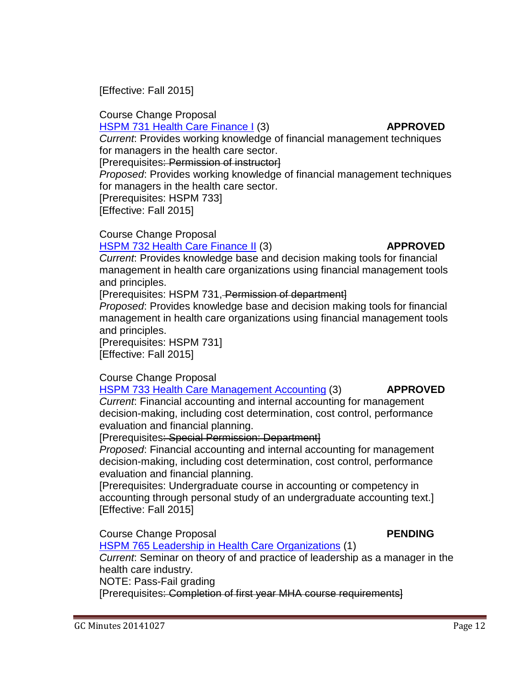[Effective: Fall 2015]

# Course Change Proposal

HSPM 731 Health Care [Finance](http://gradschool.sc.edu/facstaff/gradcouncil/2014/HSPM%20731%20CCP_Redacted1.pdf) I (3) **APPROVED** *Current*: Provides working knowledge of financial management techniques

for managers in the health care sector. [Prerequisites: Permission of instructor]

*Proposed*: Provides working knowledge of financial management techniques for managers in the health care sector.

[Prerequisites: HSPM 733]

[Effective: Fall 2015]

Course Change Proposal

### HSPM 732 Health Care [Finance](http://gradschool.sc.edu/facstaff/gradcouncil/2014/HSPM%20732%20CCP_Redacted1pdf.pdf) II (3) **APPROVED**

*Current*: Provides knowledge base and decision making tools for financial management in health care organizations using financial management tools and principles.

### [Prerequisites: HSPM 731, Permission of department]

*Proposed*: Provides knowledge base and decision making tools for financial management in health care organizations using financial management tools and principles.

[Prerequisites: HSPM 731] [Effective: Fall 2015]

### Course Change Proposal

### HSPM 733 Health Care [Management](http://gradschool.sc.edu/facstaff/gradcouncil/2014/HSPM%20733%20CCP_Redacted1.pdf) Accounting (3) **APPROVED**

*Current*: Financial accounting and internal accounting for management decision-making, including cost determination, cost control, performance evaluation and financial planning.

[Prerequisites: Special Permission: Department]

*Proposed*: Financial accounting and internal accounting for management decision-making, including cost determination, cost control, performance evaluation and financial planning.

[Prerequisites: Undergraduate course in accounting or competency in accounting through personal study of an undergraduate accounting text.] [Effective: Fall 2015]

**Course Change Proposal <b>PENDING** 

HSPM 765 Leadership in Health Care [Organizations](http://gradschool.sc.edu/facstaff/gradcouncil/2014/HSPM%20765%20CCP_Redacted1.pdf) (1) *Current*: Seminar on theory of and practice of leadership as a manager in the health care industry. NOTE: Pass-Fail grading

[Prerequisites: Completion of first year MHA course requirements]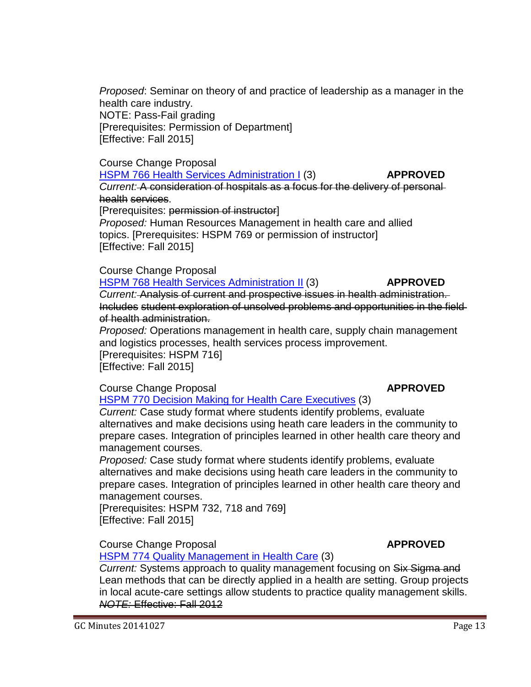*Proposed*: Seminar on theory of and practice of leadership as a manager in the health care industry. NOTE: Pass-Fail grading [Prerequisites: Permission of Department] [Effective: Fall 2015]

### Course Change Proposal

HSPM 766 Health Services [Administration](http://gradschool.sc.edu/facstaff/gradcouncil/2014/HSPM%20766%20ccp_Redacted1.pdf) I (3) **APPROVED**

*Current:* A consideration of hospitals as a focus for the delivery of personal health services.

[Prerequisites: permission of instructor]

*Proposed:* Human Resources Management in health care and allied topics. [Prerequisites: HSPM 769 or permission of instructor] [Effective: Fall 2015]

Course Change Proposal

HSPM 768 Health Services [Administration](http://gradschool.sc.edu/facstaff/gradcouncil/2014/HSPM%20768%20CCP_Redacted1.pdf) II (3) **APPROVED** *Current:* Analysis of current and prospective issues in health administration. Includes student exploration of unsolved problems and opportunities in the field of health administration.

*Proposed:* Operations management in health care, supply chain management and logistics processes, health services process improvement. [Prerequisites: HSPM 716]

[Effective: Fall 2015]

**Course Change Proposal <b>APPROVED** 

HSPM 770 Decision Making for Health Care [Executives](http://gradschool.sc.edu/facstaff/gradcouncil/2014/HSPM%20770%20CCP_Redacted1.pdf) (3)

*Current:* Case study format where students identify problems, evaluate alternatives and make decisions using heath care leaders in the community to prepare cases. Integration of principles learned in other health care theory and management courses.

*Proposed:* Case study format where students identify problems, evaluate alternatives and make decisions using heath care leaders in the community to prepare cases. Integration of principles learned in other health care theory and management courses.

[Prerequisites: HSPM 732, 718 and 769] [Effective: Fall 2015]

**Course Change Proposal <b>APPROVED** 

HSPM 774 Quality [Management](http://gradschool.sc.edu/facstaff/gradcouncil/2014/HSPM%20774%20CCP_Redacted1.pdf) in Health Care (3)

*Current:* Systems approach to quality management focusing on Six Sigma and Lean methods that can be directly applied in a health are setting. Group projects in local acute-care settings allow students to practice quality management skills. *NOTE:* Effective: Fall 2012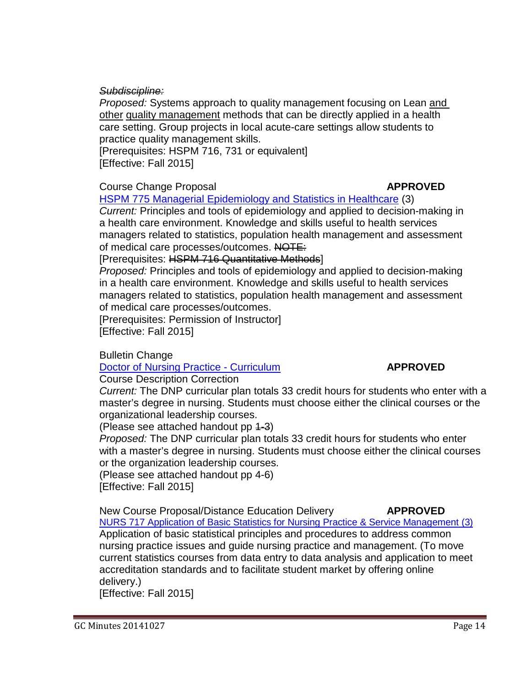*Subdiscipline:*

*Proposed:* Systems approach to quality management focusing on Lean and other quality management methods that can be directly applied in a health care setting. Group projects in local acute-care settings allow students to practice quality management skills.

[Prerequisites: HSPM 716, 731 or equivalent] [Effective: Fall 2015]

### Course Change Proposal **APPROVED**

HSPM 775 Managerial [Epidemiology](http://gradschool.sc.edu/facstaff/gradcouncil/2014/HSPM%20775%20CCP_Redacted1.pdf) and Statistics in Healthcare (3)

*Current:* Principles and tools of epidemiology and applied to decision-making in a health care environment. Knowledge and skills useful to health services managers related to statistics, population health management and assessment of medical care processes/outcomes. NOTE:

[Prerequisites: HSPM 716 Quantitative Methods]

*Proposed:* Principles and tools of epidemiology and applied to decision-making in a health care environment. Knowledge and skills useful to health services managers related to statistics, population health management and assessment of medical care processes/outcomes.

[Prerequisites: Permission of Instructor] [Effective: Fall 2015]

Bulletin Change

Doctor of Nursing Practice - [Curriculum](http://gradschool.sc.edu/facstaff/gradcouncil/2014/Doctor%20of%20Nursing%20Practice%20BCH_Redacted.pdf) **APPROVED**

Course Description Correction

*Current:* The DNP curricular plan totals 33 credit hours for students who enter with a master's degree in nursing. Students must choose either the clinical courses or the organizational leadership courses.

(Please see attached handout pp 1-3)

*Proposed:* The DNP curricular plan totals 33 credit hours for students who enter with a master's degree in nursing. Students must choose either the clinical courses or the organization leadership courses.

(Please see attached handout pp 4-6) [Effective: Fall 2015]

New Course Proposal/Distance Education Delivery **APPROVED** NURS 717 Application of Basic Statistics for Nursing Practice & Service [Management](http://gradschool.sc.edu/facstaff/gradcouncil/2014/Nursing%20717%20NCP_Redacted1.pdf) (3) Application of basic statistical principles and procedures to address common nursing practice issues and guide nursing practice and management. (To move

current statistics courses from data entry to data analysis and application to meet accreditation standards and to facilitate student market by offering online delivery.)

[Effective: Fall 2015]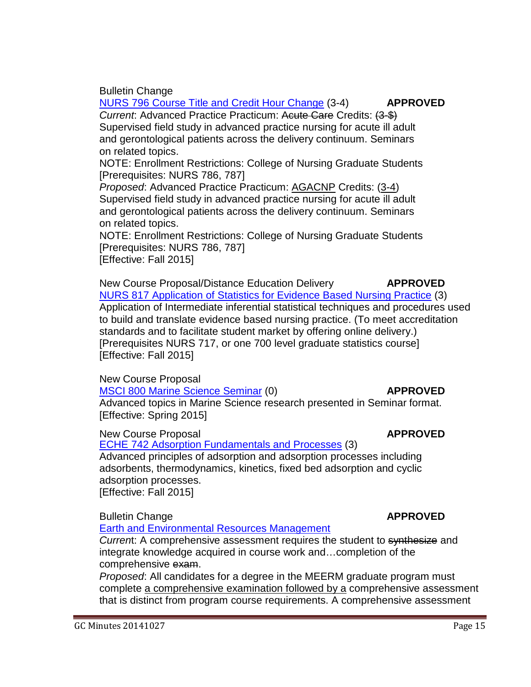NURS 796 Course Title and Credit Hour [Change](http://gradschool.sc.edu/facstaff/gradcouncil/2014/NURS%20796%20BCH_Redacted.pdf) (3-4) **APPROVED** *Current*: Advanced Practice Practicum: Acute Care Credits: (3-\$) Supervised field study in advanced practice nursing for acute ill adult and gerontological patients across the delivery continuum. Seminars on related topics.

NOTE: Enrollment Restrictions: College of Nursing Graduate Students [Prerequisites: NURS 786, 787]

*Proposed*: Advanced Practice Practicum: AGACNP Credits: (3-4) Supervised field study in advanced practice nursing for acute ill adult and gerontological patients across the delivery continuum. Seminars on related topics.

NOTE: Enrollment Restrictions: College of Nursing Graduate Students [Prerequisites: NURS 786, 787] [Effective: Fall 2015]

New Course Proposal/Distance Education Delivery **APPROVED** NURS 817 [Application](http://gradschool.sc.edu/facstaff/gradcouncil/2014/Nursing%20817%20NCP_Redacted1.pdf) of Statistics for Evidence Based Nursing Practice (3) Application of Intermediate inferential statistical techniques and procedures used to build and translate evidence based nursing practice. (To meet accreditation standards and to facilitate student market by offering online delivery.) [Prerequisites NURS 717, or one 700 level graduate statistics course] [Effective: Fall 2015]

New Course Proposal

Bulletin Change

MSCI 800 Marine Science [Seminar](http://gradschool.sc.edu/facstaff/gradcouncil/2014/MSCI%20800%20NCP_Redacted2.pdf) (0) **APPROVED**

Advanced topics in Marine Science research presented in Seminar format. [Effective: Spring 2015]

New Course Proposal **APPROVED**

ECHE 742 Adsorption [Fundamentals](http://gradschool.sc.edu/facstaff/gradcouncil/2014/ECHE%20742%20NCP_Redacted2.pdf) and Processes (3)

Advanced principles of adsorption and adsorption processes including adsorbents, thermodynamics, kinetics, fixed bed adsorption and cyclic adsorption processes. [Effective: Fall 2015]

Bulletin Change **APPROVED**

Earth and [Environmental](http://gradschool.sc.edu/facstaff/gradcouncil/2014/MEERM%20BCH_Redacted.pdf) Resources Management

*Curren*t: A comprehensive assessment requires the student to synthesize and integrate knowledge acquired in course work and…completion of the comprehensive exam.

*Proposed*: All candidates for a degree in the MEERM graduate program must complete a comprehensive examination followed by a comprehensive assessment that is distinct from program course requirements. A comprehensive assessment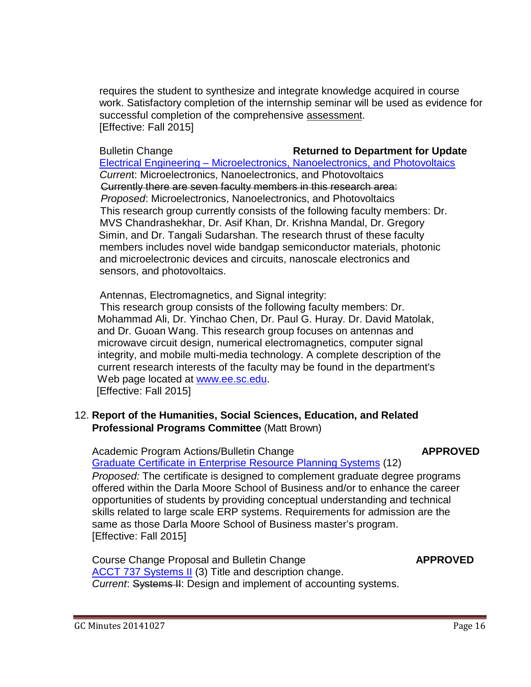requires the student to synthesize and integrate knowledge acquired in course work. Satisfactory completion of the internship seminar will be used as evidence for successful completion of the comprehensive assessment. [Effective: Fall 2015]

### Bulletin Change **Returned to Department for Update**

Electrical Engineering – [Microelectronics,](http://gradschool.sc.edu/facstaff/gradcouncil/2014/Electrical%20Engineering%20BCH%209262014_Redacted.pdf) Nanoelectronics, and Photovoltaics  *Curren*t: Microelectronics, Nanoelectronics, and Photovoltaics Currently there are seven faculty members in this research area: *Proposed*: Microelectronics, Nanoelectronics, and Photovoltaics This research group currently consists of the following faculty members: Dr. MVS Chandrashekhar, Dr. Asif Khan, Dr. Krishna Mandal, Dr. Gregory Simin, and Dr. Tangali Sudarshan. The research thrust of these faculty members includes novel wide bandgap semiconductor materials, photonic and microelectronic devices and circuits, nanoscale electronics and sensors, and photovoltaics.

Antennas, Electromagnetics, and Signal integrity:

 This research group consists of the following faculty members: Dr. Mohammad Ali, Dr. Yinchao Chen, Dr. Paul G. Huray. Dr. David Matolak, and Dr. Guoan Wang. This research group focuses on antennas and microwave circuit design, numerical electromagnetics, computer signal integrity, and mobile multi-media technology. A complete description of the current research interests of the faculty may be found in the department's Web page located at [www.ee.sc.edu.](http://www.ee.sc.edu/) [Effective: Fall 2015]

### 12. **Report of the Humanities, Social Sciences, Education, and Related Professional Programs Committee** (Matt Brown)

 Academic Program Actions/Bulletin Change **APPROVED** Graduate Certificate in [Enterprise](http://gradschool.sc.edu/facstaff/gradcouncil/2014/Certificate%20in%20Business%20ERPS%20APA%20BCH_Redacted1.pdf) Resource Planning Systems (12)

*Proposed:* The certificate is designed to complement graduate degree programs offered within the Darla Moore School of Business and/or to enhance the career opportunities of students by providing conceptual understanding and technical skills related to large scale ERP systems. Requirements for admission are the same as those Darla Moore School of Business master's program. [Effective: Fall 2015]

Course Change Proposal and Bulletin Change **APPROVED** [ACCT 737](http://gradschool.sc.edu/facstaff/gradcouncil/2014/ACCT%20737%20Systems%20II_Redacted2.pdf) Systems II (3) Title and description change. *Current*: Systems II: Design and implement of accounting systems.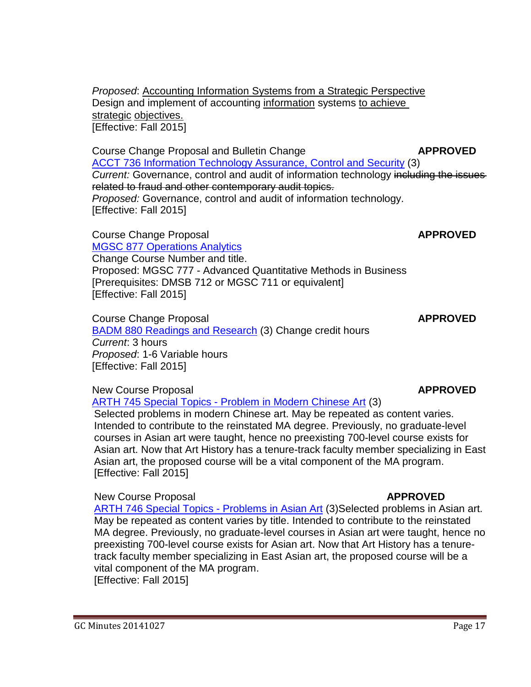*Proposed*: Accounting Information Systems from a Strategic Perspective Design and implement of accounting information systems to achieve strategic objectives. [Effective: Fall 2015]

Course Change Proposal and Bulletin Change **APPROVED** ACCT 736 Information [Technology](http://gradschool.sc.edu/facstaff/gradcouncil/2014/ACCT%20737%20Systems%20II_Redacted2.pdf) Assurance, Control and Security (3) *Current:* Governance, control and audit of information technology including the issues related to fraud and other contemporary audit topics. *Proposed:* Governance, control and audit of information technology. [Effective: Fall 2015]

**Course Change Proposal <b>APPROVED APPROVED** 

[MGSC 877](http://gradschool.sc.edu/facstaff/gradcouncil/2014/MGSC%20877%20CCP_Redacted1.pdf) Operations Analytics Change Course Number and title. Proposed: MGSC 777 - Advanced Quantitative Methods in Business [Prerequisites: DMSB 712 or MGSC 711 or equivalent] [Effective: Fall 2015]

**Course Change Proposal <b>APPROVED APPROVED** BADM 880 [Readings and](http://gradschool.sc.edu/facstaff/gradcouncil/2014/BADM%20880%20CCP_Redacted.pdf) Research (3) Change credit hours *Current*: 3 hours *Proposed*: 1-6 Variable hours [Effective: Fall 2015]

New Course Proposal **APPROVED**

[ARTH 745](http://gradschool.sc.edu/facstaff/gradcouncil/2014/ARTH%20745%20NCP%20corrected%20September%2018%202014_Redacted.pdf) Special Topics - Problem in Modern Chinese Art (3)

Selected problems in modern Chinese art. May be repeated as content varies. Intended to contribute to the reinstated MA degree. Previously, no graduate-level courses in Asian art were taught, hence no preexisting 700-level course exists for Asian art. Now that Art History has a tenure-track faculty member specializing in East Asian art, the proposed course will be a vital component of the MA program. [Effective: Fall 2015]

New Course Proposal **APPROVED** 

ARTH 746 Special Topics - [Problems in](http://gradschool.sc.edu/facstaff/gradcouncil/2014/ARTH%20746%20NCP%20Special%20Topics%20Probs%20Asian%20Art_Redacted.pdf) Asian Art (3)Selected problems in Asian art. May be repeated as content varies by title. Intended to contribute to the reinstated MA degree. Previously, no graduate-level courses in Asian art were taught, hence no preexisting 700-level course exists for Asian art. Now that Art History has a tenuretrack faculty member specializing in East Asian art, the proposed course will be a vital component of the MA program.

[Effective: Fall 2015]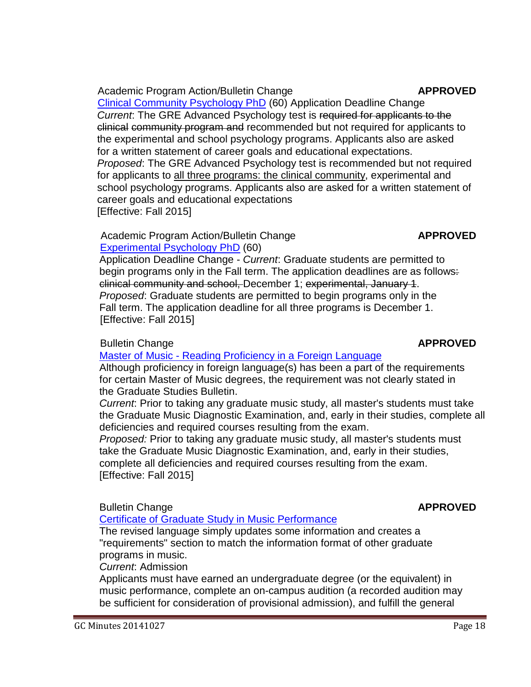### [Clinical Community](http://gradschool.sc.edu/facstaff/gradcouncil/2014/Clinical%20Community%20Psychology%20PhD%20APA_Redacted1.pdf) Psychology PhD (60) Application Deadline Change *Current*: The GRE Advanced Psychology test is required for applicants to the clinical community program and recommended but not required for applicants to the experimental and school psychology programs. Applicants also are asked

for a written statement of career goals and educational expectations. *Proposed*: The GRE Advanced Psychology test is recommended but not required for applicants to all three programs: the clinical community, experimental and school psychology programs. Applicants also are asked for a written statement of career goals and educational expectations [Effective: Fall 2015]

# Academic Program Action/Bulletin Change **APPROVED**

[Experimental](http://gradschool.sc.edu/facstaff/gradcouncil/2014/Experimental%20Psychology%20PhD%20APA_Redacted1.pdf) Psychology PhD (60) Application Deadline Change - *Current*: Graduate students are permitted to begin programs only in the Fall term. The application deadlines are as follows: clinical community and school, December 1; experimental, January 1. *Proposed*: Graduate students are permitted to begin programs only in the Fall term. The application deadline for all three programs is December 1. [Effective: Fall 2015]

# **Bulletin Change APPROVED**

# Master of Music - Reading [Proficiency](http://gradschool.sc.edu/facstaff/gradcouncil/2014/Master%20of%20Music%20Reading%20Proficiency%20revised%209-25-14.pdf) in a Foreign Language

Although proficiency in foreign language(s) has been a part of the requirements for certain Master of Music degrees, the requirement was not clearly stated in the Graduate Studies Bulletin.

*Current*: Prior to taking any graduate music study, all master's students must take the Graduate Music Diagnostic Examination, and, early in their studies, complete all deficiencies and required courses resulting from the exam.

*Proposed:* Prior to taking any graduate music study, all master's students must take the Graduate Music Diagnostic Examination, and, early in their studies, complete all deficiencies and required courses resulting from the exam. [Effective: Fall 2015]

# Bulletin Change **APPROVED**

# Certificate of Graduate Study in [Music Performance](http://gradschool.sc.edu/facstaff/gradcouncil/2014/Certificate%20of%20Graduate%20Study%20in%20Music%20Performance%20BCH_Redacted%20revised%209-25-14.pdf)

The revised language simply updates some information and creates a "requirements" section to match the information format of other graduate programs in music.

*Current*: Admission

Applicants must have earned an undergraduate degree (or the equivalent) in music performance, complete an on-campus audition (a recorded audition may be sufficient for consideration of provisional admission), and fulfill the general

### Academic Program Action/Bulletin Change **APPROVED**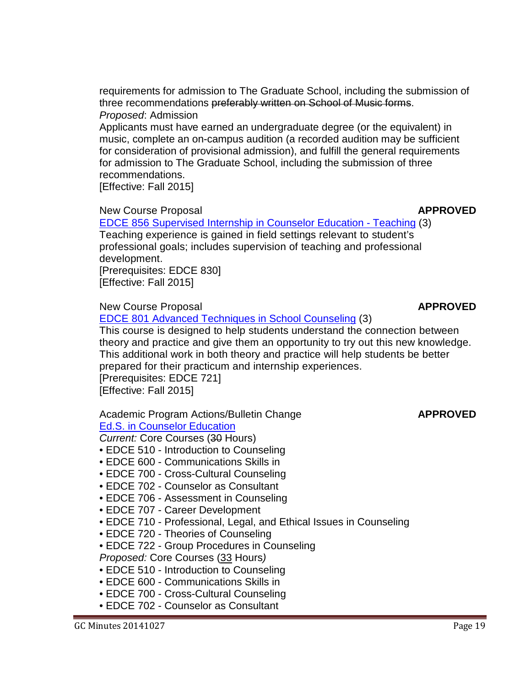requirements for admission to The Graduate School, including the submission of three recommendations preferably written on School of Music forms. *Proposed*: Admission

Applicants must have earned an undergraduate degree (or the equivalent) in music, complete an on-campus audition (a recorded audition may be sufficient for consideration of provisional admission), and fulfill the general requirements for admission to The Graduate School, including the submission of three recommendations.

[Effective: Fall 2015]

### New Course Proposal **APPROVED**

EDCE 856 Supervised Internship in [Counselor Education](http://gradschool.sc.edu/facstaff/gradcouncil/2014/EDCE%20856%20NCP_Redacted3.pdf) - Teaching (3) Teaching experience is gained in field settings relevant to student's professional goals; includes supervision of teaching and professional development.

[Prerequisites: EDCE 830] [Effective: Fall 2015]

New Course Proposal **APPROVED**

EDCE 801 Advanced [Techniques](http://gradschool.sc.edu/facstaff/gradcouncil/2014/EDCE%20801%20NCP_Redacted3.pdf) in School Counseling (3)

This course is designed to help students understand the connection between theory and practice and give them an opportunity to try out this new knowledge. This additional work in both theory and practice will help students be better prepared for their practicum and internship experiences.

[Prerequisites: EDCE 721] [Effective: Fall 2015]

### Academic Program Actions/Bulletin Change **APPROVED** Ed.S. in [Counselor](http://gradschool.sc.edu/facstaff/gradcouncil/2014/Counselor%20Ed%20EdS%20APA_Redacted1.pdf) Education

*Current:* Core Courses (30 Hours)

- EDCE 510 Introduction to Counseling
- EDCE 600 Communications Skills in
- EDCE 700 Cross-Cultural Counseling
- EDCE 702 Counselor as Consultant
- EDCE 706 Assessment in Counseling
- EDCE 707 Career Development
- EDCE 710 Professional, Legal, and Ethical Issues in Counseling
- EDCE 720 Theories of Counseling
- EDCE 722 Group Procedures in Counseling
- *Proposed:* Core Courses (33 Hours*)*
- EDCE 510 Introduction to Counseling
- EDCE 600 Communications Skills in
- EDCE 700 Cross-Cultural Counseling
- EDCE 702 Counselor as Consultant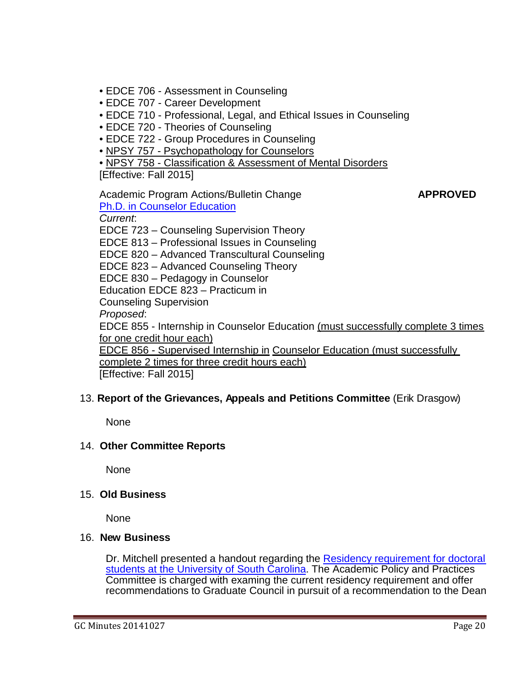- EDCE 706 Assessment in Counseling
- EDCE 707 Career Development
- EDCE 710 Professional, Legal, and Ethical Issues in Counseling
- EDCE 720 Theories of Counseling
- EDCE 722 Group Procedures in Counseling
- NPSY 757 Psychopathology for Counselors

• NPSY 758 - Classification & Assessment of Mental Disorders

[Effective: Fall 2015]

Academic Program Actions/Bulletin Change **APPROVED** Ph.D. in [Counselor](http://gradschool.sc.edu/facstaff/gradcouncil/2014/Counselor%20Ed%20PhD%20APA_Redacted1.pdf) Education *Current*: EDCE 723 – Counseling Supervision Theory EDCE 813 – Professional Issues in Counseling EDCE 820 – Advanced Transcultural Counseling EDCE 823 – Advanced Counseling Theory EDCE 830 – Pedagogy in Counselor Education EDCE 823 – Practicum in Counseling Supervision *Proposed*: EDCE 855 - Internship in Counselor Education (must successfully complete 3 times for one credit hour each) EDCE 856 - Supervised Internship in Counselor Education (must successfully complete 2 times for three credit hours each) [Effective: Fall 2015]

### 13. **Report of the Grievances, Appeals and Petitions Committee** (Erik Drasgow)

None

### 14. **Other Committee Reports**

None

### 15. **Old Business**

None

### 16. **New Business**

Dr. Mitchell presented a handout regarding the [Residency requirement for doctoral](http://gradschool.sc.edu/facstaff/gradcouncil/2014/Attachment%2010-27-14%20Residency%20Requirement%20Sheet1.pdf)  [students at the University of South Carolina.](http://gradschool.sc.edu/facstaff/gradcouncil/2014/Attachment%2010-27-14%20Residency%20Requirement%20Sheet1.pdf) The Academic Policy and Practices Committee is charged with examing the current residency requirement and offer recommendations to Graduate Council in pursuit of a recommendation to the Dean